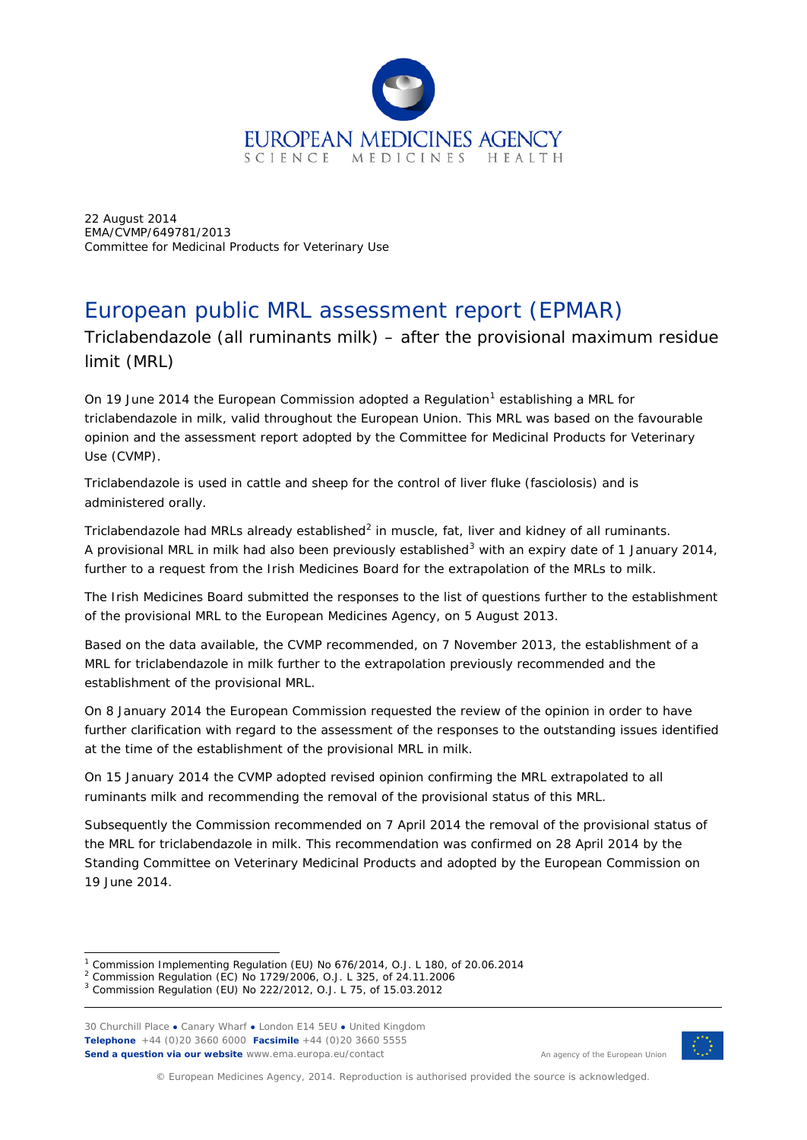

22 August 2014 EMA/CVMP/649781/2013 Committee for Medicinal Products for Veterinary Use

# European public MRL assessment report (EPMAR)

Triclabendazole (all ruminants milk) – after the provisional maximum residue limit (MRL)

On [1](#page-0-0)9 June 2014 the European Commission adopted a Regulation<sup>1</sup> establishing a MRL for triclabendazole in milk, valid throughout the European Union. This MRL was based on the favourable opinion and the assessment report adopted by the Committee for Medicinal Products for Veterinary Use (CVMP).

Triclabendazole is used in cattle and sheep for the control of liver fluke (fasciolosis) and is administered orally.

Triclabendazole had MRLs already established<sup>[2](#page-0-1)</sup> in muscle, fat, liver and kidney of all ruminants. A provisional MRL in milk had also been previously established<sup>[3](#page-0-2)</sup> with an expiry date of 1 January 2014, further to a request from the Irish Medicines Board for the extrapolation of the MRLs to milk.

The Irish Medicines Board submitted the responses to the list of questions further to the establishment of the provisional MRL to the European Medicines Agency, on 5 August 2013.

Based on the data available, the CVMP recommended, on 7 November 2013, the establishment of a MRL for triclabendazole in milk further to the extrapolation previously recommended and the establishment of the provisional MRL.

On 8 January 2014 the European Commission requested the review of the opinion in order to have further clarification with regard to the assessment of the responses to the outstanding issues identified at the time of the establishment of the provisional MRL in milk.

On 15 January 2014 the CVMP adopted revised opinion confirming the MRL extrapolated to all ruminants milk and recommending the removal of the provisional status of this MRL.

Subsequently the Commission recommended on 7 April 2014 the removal of the provisional status of the MRL for triclabendazole in milk. This recommendation was confirmed on 28 April 2014 by the Standing Committee on Veterinary Medicinal Products and adopted by the European Commission on 19 June 2014.

30 Churchill Place **●** Canary Wharf **●** London E14 5EU **●** United Kingdom **Telephone** +44 (0)20 3660 6000 **Facsimile** +44 (0)20 3660 5555 **Send a question via our website** www.ema.europa.eu/contact



An agency of the European Union

© European Medicines Agency, 2014. Reproduction is authorised provided the source is acknowledged.

 $1$  Commission Implementing Regulation (EU) No 676/2014, O.J. L 180, of 20.06.2014 ł

<span id="page-0-1"></span><span id="page-0-0"></span><sup>2</sup> Commission Regulation (EC) No 1729/2006, O.J. L 325, of 24.11.2006

<span id="page-0-2"></span><sup>3</sup> Commission Regulation (EU) No 222/2012, O.J. L 75, of 15.03.2012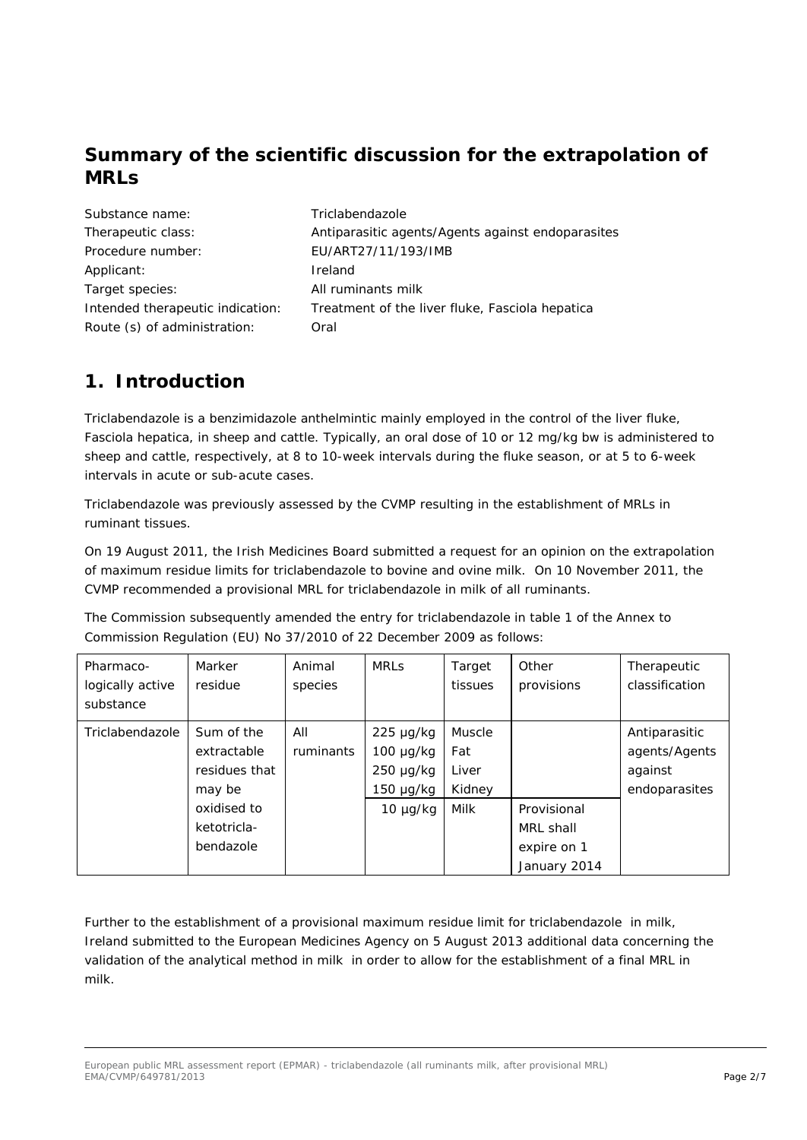### **Summary of the scientific discussion for the extrapolation of MRLs**

| Substance name:                  | Triclabendazole                                   |
|----------------------------------|---------------------------------------------------|
| Therapeutic class:               | Antiparasitic agents/Agents against endoparasites |
| Procedure number:                | EU/ART27/11/193/IMB                               |
| Applicant:                       | Ireland                                           |
| Target species:                  | All ruminants milk                                |
| Intended therapeutic indication: | Treatment of the liver fluke, Fasciola hepatica   |
| Route (s) of administration:     | Oral                                              |

## **1. Introduction**

Triclabendazole is a benzimidazole anthelmintic mainly employed in the control of the liver fluke, *Fasciola hepatica,* in sheep and cattle. Typically, an oral dose of 10 or 12 mg/kg bw is administered to sheep and cattle, respectively, at 8 to 10-week intervals during the fluke season, or at 5 to 6-week intervals in acute or sub-acute cases.

Triclabendazole was previously assessed by the CVMP resulting in the establishment of MRLs in ruminant tissues.

On 19 August 2011, the Irish Medicines Board submitted a request for an opinion on the extrapolation of maximum residue limits for triclabendazole to bovine and ovine milk. On 10 November 2011, the CVMP recommended a provisional MRL for triclabendazole in milk of all ruminants.

The Commission subsequently amended the entry for triclabendazole in table 1 of the Annex to Commission Regulation (EU) No 37/2010 of 22 December 2009 as follows:

| Pharmaco-<br>logically active<br>substance | Marker<br>residue                                    | Animal<br>species | <b>MRLS</b>                                                          | Target<br>tissues                | Other<br>provisions                                     | Therapeutic<br>classification                              |
|--------------------------------------------|------------------------------------------------------|-------------------|----------------------------------------------------------------------|----------------------------------|---------------------------------------------------------|------------------------------------------------------------|
| Triclabendazole                            | Sum of the<br>extractable<br>residues that<br>may be | All<br>ruminants  | $225 \mu g/kg$<br>$100 \mu g/kg$<br>$250 \mu g/kg$<br>$150 \mu g/kg$ | Muscle<br>Fat<br>Liver<br>Kidney |                                                         | Antiparasitic<br>agents/Agents<br>against<br>endoparasites |
|                                            | oxidised to<br>ketotricla-<br>bendazole              |                   | $10 \mu g/kg$                                                        | Milk                             | Provisional<br>MRL shall<br>expire on 1<br>January 2014 |                                                            |

Further to the establishment of a provisional maximum residue limit for triclabendazole in milk, Ireland submitted to the European Medicines Agency on 5 August 2013 additional data concerning the validation of the analytical method in milk in order to allow for the establishment of a final MRL in milk.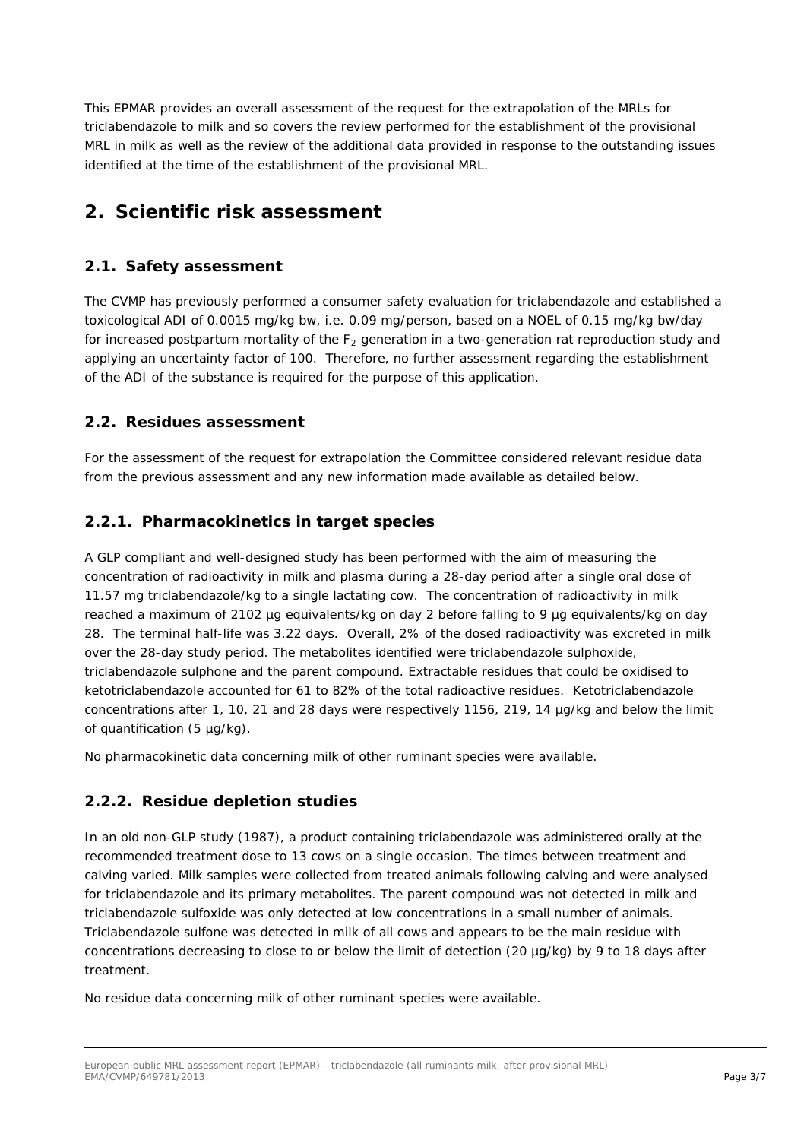This EPMAR provides an overall assessment of the request for the extrapolation of the MRLs for triclabendazole to milk and so covers the review performed for the establishment of the provisional MRL in milk as well as the review of the additional data provided in response to the outstanding issues identified at the time of the establishment of the provisional MRL.

## **2. Scientific risk assessment**

### *2.1. Safety assessment*

The CVMP has previously performed a consumer safety evaluation for triclabendazole and established a toxicological ADI of 0.0015 mg/kg bw, i.e. 0.09 mg/person, based on a NOEL of 0.15 mg/kg bw/day for increased postpartum mortality of the  $F_2$  generation in a two-generation rat reproduction study and applying an uncertainty factor of 100. Therefore, no further assessment regarding the establishment of the ADI of the substance is required for the purpose of this application.

#### *2.2. Residues assessment*

For the assessment of the request for extrapolation the Committee considered relevant residue data from the previous assessment and any new information made available as detailed below.

#### **2.2.1. Pharmacokinetics in target species**

A GLP compliant and well-designed study has been performed with the aim of measuring the concentration of radioactivity in milk and plasma during a 28-day period after a single oral dose of 11.57 mg triclabendazole/kg to a single lactating cow. The concentration of radioactivity in milk reached a maximum of 2102 µg equivalents/kg on day 2 before falling to 9 µg equivalents/kg on day 28. The terminal half-life was 3.22 days. Overall, 2% of the dosed radioactivity was excreted in milk over the 28-day study period. The metabolites identified were triclabendazole sulphoxide, triclabendazole sulphone and the parent compound. Extractable residues that could be oxidised to ketotriclabendazole accounted for 61 to 82% of the total radioactive residues. Ketotriclabendazole concentrations after 1, 10, 21 and 28 days were respectively 1156, 219, 14 µg/kg and below the limit of quantification (5 µg/kg).

No pharmacokinetic data concerning milk of other ruminant species were available.

#### **2.2.2. Residue depletion studies**

In an old non-GLP study (1987), a product containing triclabendazole was administered orally at the recommended treatment dose to 13 cows on a single occasion. The times between treatment and calving varied. Milk samples were collected from treated animals following calving and were analysed for triclabendazole and its primary metabolites. The parent compound was not detected in milk and triclabendazole sulfoxide was only detected at low concentrations in a small number of animals. Triclabendazole sulfone was detected in milk of all cows and appears to be the main residue with concentrations decreasing to close to or below the limit of detection (20 µg/kg) by 9 to 18 days after treatment.

No residue data concerning milk of other ruminant species were available.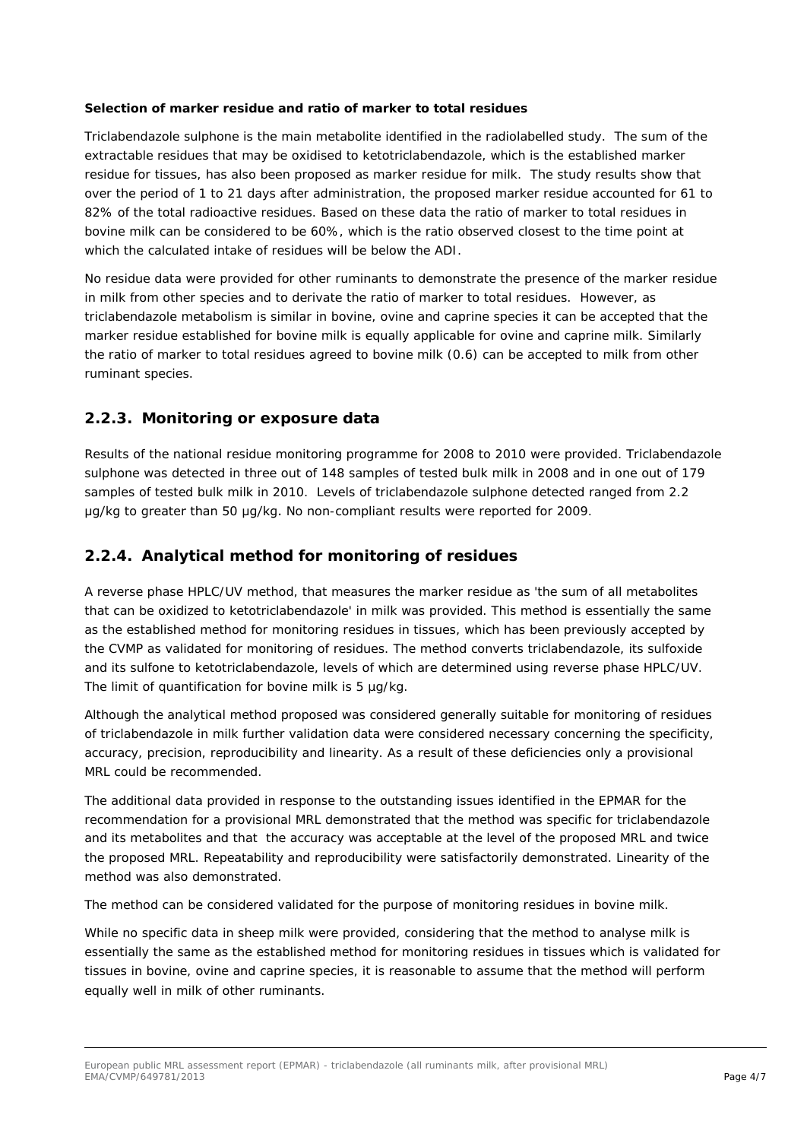#### **Selection of marker residue and ratio of marker to total residues**

Triclabendazole sulphone is the main metabolite identified in the radiolabelled study. The sum of the extractable residues that may be oxidised to ketotriclabendazole, which is the established marker residue for tissues, has also been proposed as marker residue for milk. The study results show that over the period of 1 to 21 days after administration, the proposed marker residue accounted for 61 to 82% of the total radioactive residues. Based on these data the ratio of marker to total residues in bovine milk can be considered to be 60%, which is the ratio observed closest to the time point at which the calculated intake of residues will be below the ADI.

No residue data were provided for other ruminants to demonstrate the presence of the marker residue in milk from other species and to derivate the ratio of marker to total residues. However, as triclabendazole metabolism is similar in bovine, ovine and caprine species it can be accepted that the marker residue established for bovine milk is equally applicable for ovine and caprine milk. Similarly the ratio of marker to total residues agreed to bovine milk (0.6) can be accepted to milk from other ruminant species.

#### **2.2.3. Monitoring or exposure data**

Results of the national residue monitoring programme for 2008 to 2010 were provided. Triclabendazole sulphone was detected in three out of 148 samples of tested bulk milk in 2008 and in one out of 179 samples of tested bulk milk in 2010. Levels of triclabendazole sulphone detected ranged from 2.2 μg/kg to greater than 50 μg/kg. No non-compliant results were reported for 2009.

#### **2.2.4. Analytical method for monitoring of residues**

A reverse phase HPLC/UV method, that measures the marker residue as 'the sum of all metabolites that can be oxidized to ketotriclabendazole' in milk was provided. This method is essentially the same as the established method for monitoring residues in tissues, which has been previously accepted by the CVMP as validated for monitoring of residues. The method converts triclabendazole, its sulfoxide and its sulfone to ketotriclabendazole, levels of which are determined using reverse phase HPLC/UV. The limit of quantification for bovine milk is 5 µg/kg.

Although the analytical method proposed was considered generally suitable for monitoring of residues of triclabendazole in milk further validation data were considered necessary concerning the specificity, accuracy, precision, reproducibility and linearity. As a result of these deficiencies only a provisional MRL could be recommended.

The additional data provided in response to the outstanding issues identified in the EPMAR for the recommendation for a provisional MRL demonstrated that the method was specific for triclabendazole and its metabolites and that the accuracy was acceptable at the level of the proposed MRL and twice the proposed MRL. Repeatability and reproducibility were satisfactorily demonstrated. Linearity of the method was also demonstrated.

The method can be considered validated for the purpose of monitoring residues in bovine milk.

While no specific data in sheep milk were provided, considering that the method to analyse milk is essentially the same as the established method for monitoring residues in tissues which is validated for tissues in bovine, ovine and caprine species, it is reasonable to assume that the method will perform equally well in milk of other ruminants.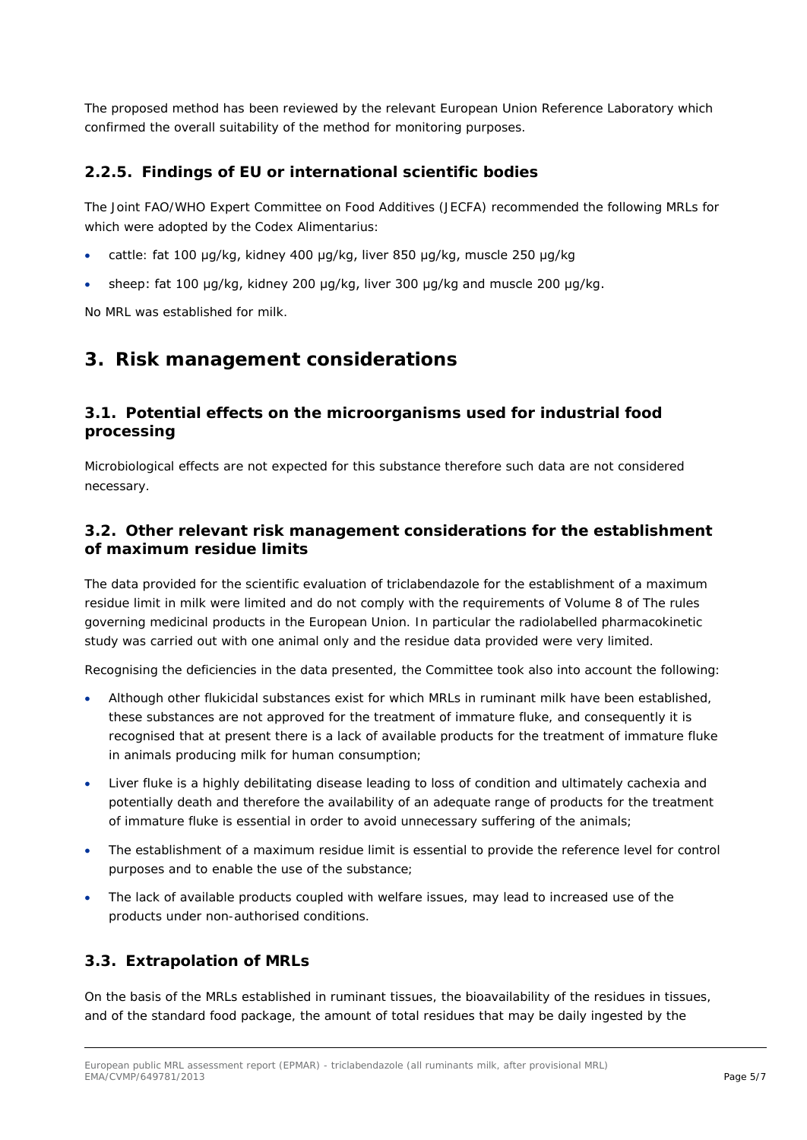The proposed method has been reviewed by the relevant European Union Reference Laboratory which confirmed the overall suitability of the method for monitoring purposes.

#### **2.2.5. Findings of EU or international scientific bodies**

The Joint FAO/WHO Expert Committee on Food Additives (JECFA) recommended the following MRLs for which were adopted by the Codex Alimentarius:

- cattle: fat 100 μg/kg, kidney 400 μg/kg, liver 850 μg/kg, muscle 250 μg/kg
- sheep: fat 100 μg/kg, kidney 200 μg/kg, liver 300 μg/kg and muscle 200 μg/kg.

No MRL was established for milk.

### **3. Risk management considerations**

### *3.1. Potential effects on the microorganisms used for industrial food processing*

Microbiological effects are not expected for this substance therefore such data are not considered necessary.

#### *3.2. Other relevant risk management considerations for the establishment of maximum residue limits*

The data provided for the scientific evaluation of triclabendazole for the establishment of a maximum residue limit in milk were limited and do not comply with the requirements of Volume 8 of *The rules governing medicinal products in the European Union*. In particular the radiolabelled pharmacokinetic study was carried out with one animal only and the residue data provided were very limited.

Recognising the deficiencies in the data presented, the Committee took also into account the following:

- Although other flukicidal substances exist for which MRLs in ruminant milk have been established, these substances are not approved for the treatment of immature fluke, and consequently it is recognised that at present there is a lack of available products for the treatment of immature fluke in animals producing milk for human consumption;
- Liver fluke is a highly debilitating disease leading to loss of condition and ultimately cachexia and potentially death and therefore the availability of an adequate range of products for the treatment of immature fluke is essential in order to avoid unnecessary suffering of the animals;
- The establishment of a maximum residue limit is essential to provide the reference level for control purposes and to enable the use of the substance;
- The lack of available products coupled with welfare issues, may lead to increased use of the products under non-authorised conditions.

#### *3.3. Extrapolation of MRLs*

On the basis of the MRLs established in ruminant tissues, the bioavailability of the residues in tissues, and of the standard food package, the amount of total residues that may be daily ingested by the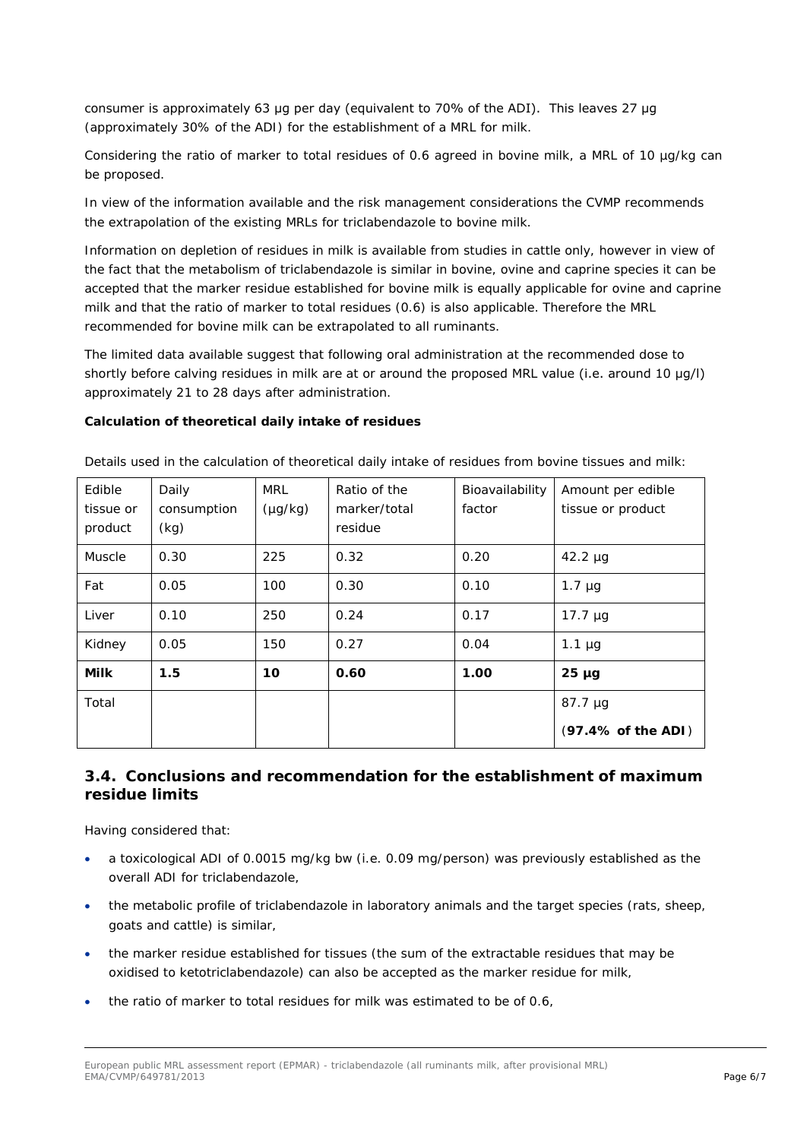consumer is approximately 63 μg per day (equivalent to 70% of the ADI). This leaves 27 μg (approximately 30% of the ADI) for the establishment of a MRL for milk.

Considering the ratio of marker to total residues of 0.6 agreed in bovine milk, a MRL of 10 ug/kg can be proposed.

In view of the information available and the risk management considerations the CVMP recommends the extrapolation of the existing MRLs for triclabendazole to bovine milk.

Information on depletion of residues in milk is available from studies in cattle only, however in view of the fact that the metabolism of triclabendazole is similar in bovine, ovine and caprine species it can be accepted that the marker residue established for bovine milk is equally applicable for ovine and caprine milk and that the ratio of marker to total residues (0.6) is also applicable. Therefore the MRL recommended for bovine milk can be extrapolated to all ruminants.

The limited data available suggest that following oral administration at the recommended dose to shortly before calving residues in milk are at or around the proposed MRL value (i.e. around 10 μg/l) approximately 21 to 28 days after administration.

#### **Calculation of theoretical daily intake of residues**

| Edible<br>tissue or<br>product | Daily<br>consumption<br>(kg) | MRL<br>$(\mu g/kg)$ | Ratio of the<br>marker/total<br>residue | Bioavailability<br>factor | Amount per edible<br>tissue or product |
|--------------------------------|------------------------------|---------------------|-----------------------------------------|---------------------------|----------------------------------------|
| Muscle                         | 0.30                         | 225                 | 0.32                                    | 0.20                      | $42.2 \mu g$                           |
| Fat                            | 0.05                         | 100                 | 0.30                                    | 0.10                      | $1.7 \mu g$                            |
| Liver                          | 0.10                         | 250                 | 0.24                                    | 0.17                      | 17.7 $\mu$ g                           |
| Kidney                         | 0.05                         | 150                 | 0.27                                    | 0.04                      | $1.1 \mu g$                            |
| <b>Milk</b>                    | 1.5                          | 10                  | 0.60                                    | 1.00                      | $25 \mu g$                             |
| Total                          |                              |                     |                                         |                           | $87.7 \mu g$                           |
|                                |                              |                     |                                         |                           | (97.4% of the ADI)                     |

Details used in the calculation of theoretical daily intake of residues from bovine tissues and milk:

#### *3.4. Conclusions and recommendation for the establishment of maximum residue limits*

Having considered that:

- a toxicological ADI of 0.0015 mg/kg bw (i.e. 0.09 mg/person) was previously established as the overall ADI for triclabendazole,
- the metabolic profile of triclabendazole in laboratory animals and the target species (rats, sheep, goats and cattle) is similar,
- the marker residue established for tissues (the sum of the extractable residues that may be oxidised to ketotriclabendazole) can also be accepted as the marker residue for milk,
- the ratio of marker to total residues for milk was estimated to be of 0.6,